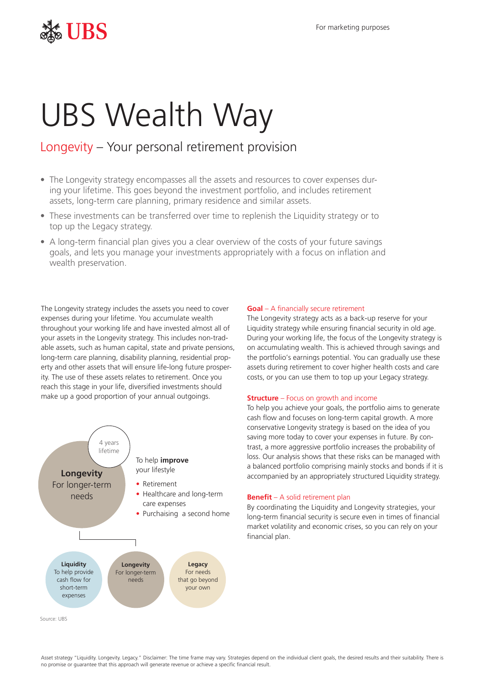## $\frac{1}{2}$  For marketing purposes

# UBS Wealth Way

### Longevity – Your personal retirement provision

- The Longevity strategy encompasses all the assets and resources to cover expenses during your lifetime. This goes beyond the investment portfolio, and includes retirement assets, long-term care planning, primary residence and similar assets.
- These investments can be transferred over time to replenish the Liquidity strategy or to top up the Legacy strategy.
- A long-term financial plan gives you a clear overview of the costs of your future savings goals, and lets you manage your investments appropriately with a focus on inflation and wealth preservation.

The Longevity strategy includes the assets you need to cover expenses during your lifetime. You accumulate wealth throughout your working life and have invested almost all of your assets in the Longevity strategy. This includes non-tradable assets, such as human capital, state and private pensions, long-term care planning, disability planning, residential property and other assets that will ensure life-long future prosperity. The use of these assets relates to retirement. Once you reach this stage in your life, diversified investments should make up a good proportion of your annual outgoings.



#### *Goal* – A financially secure retirement

The Longevity strategy acts as a back-up reserve for your Liquidity strategy while ensuring financial security in old age. During your working life, the focus of the Longevity strategy is on accumulating wealth. This is achieved through savings and the portfolio's earnings potential. You can gradually use these assets during retirement to cover higher health costs and care costs, or you can use them to top up your Legacy strategy.

#### *Structure* – Focus on growth and income

To help you achieve your goals, the portfolio aims to generate cash flow and focuses on long-term capital growth. A more conservative Longevity strategy is based on the idea of you saving more today to cover your expenses in future. By contrast, a more aggressive portfolio increases the probability of loss. Our analysis shows that these risks can be managed with a balanced portfolio comprising mainly stocks and bonds if it is accompanied by an appropriately structured Liquidity strategy.

#### *Benefit* – A solid retirement plan

By coordinating the Liquidity and Longevity strategies, your long-term financial security is secure even in times of financial market volatility and economic crises, so you can rely on your financial plan.

Asset strategy "Liquidity. Longevity. Legacy." Disclaimer: The time frame may vary. Strategies depend on the individual client goals, the desired results and their suitability. There is no promise or guarantee that this approach will generate revenue or achieve a specific financial result.